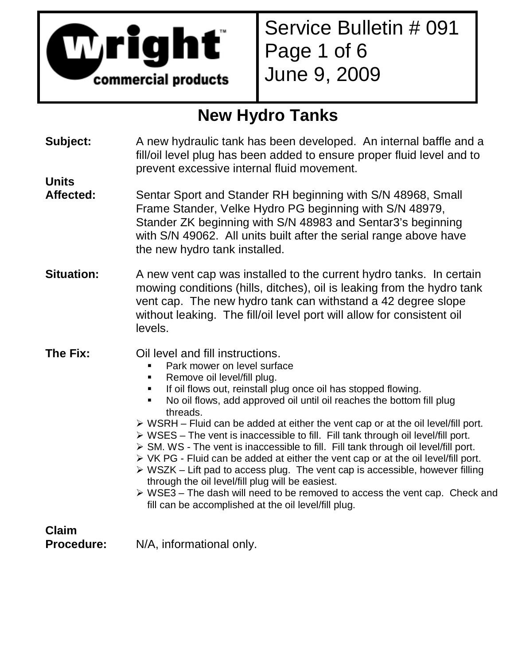

Service Bulletin # 091 Page 1 of 6 June 9, 2009

### **New Hydro Tanks**

**Subject:** A new hydraulic tank has been developed. An internal baffle and a fill/oil level plug has been added to ensure proper fluid level and to prevent excessive internal fluid movement.

### **Units**

- Affected: Sentar Sport and Stander RH beginning with S/N 48968, Small Frame Stander, Velke Hydro PG beginning with S/N 48979, Stander ZK beginning with S/N 48983 and Sentar3's beginning with S/N 49062. All units built after the serial range above have the new hydro tank installed.
- **Situation:** A new vent cap was installed to the current hydro tanks. In certain mowing conditions (hills, ditches), oil is leaking from the hydro tank vent cap. The new hydro tank can withstand a 42 degree slope without leaking. The fill/oil level port will allow for consistent oil levels.
- **The Fix:** Oil level and fill instructions.
	- Park mower on level surface
	- **Remove oil level/fill plug.**
	- **If oil flows out, reinstall plug once oil has stopped flowing.**
	- No oil flows, add approved oil until oil reaches the bottom fill plug threads.
	- > WSRH Fluid can be added at either the vent cap or at the oil level/fill port.
	- > WSES The vent is inaccessible to fill. Fill tank through oil level/fill port.
	- > SM. WS The vent is inaccessible to fill. Fill tank through oil level/fill port.
	- > VK PG Fluid can be added at either the vent cap or at the oil level/fill port.
	- > WSZK Lift pad to access plug. The vent cap is accessible, however filling through the oil level/fill plug will be easiest.
	- > WSE3 The dash will need to be removed to access the vent cap. Check and fill can be accomplished at the oil level/fill plug.

**Claim** 

**Procedure:** N/A, informational only.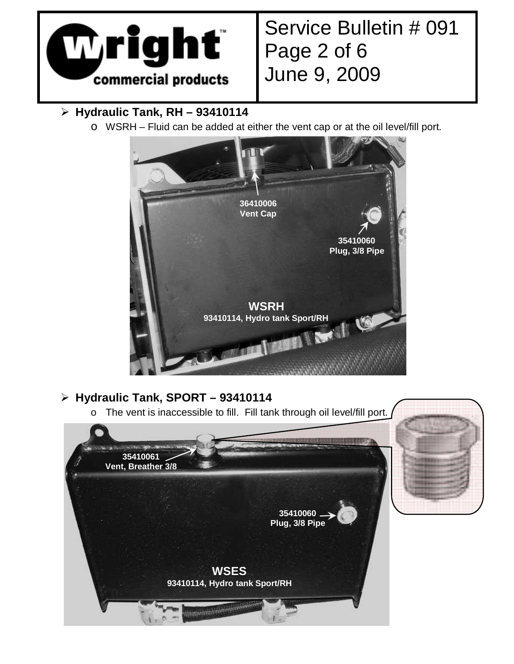

# Service Bulletin # 091 Page 2 of 6 June 9, 2009

#### - **Hydraulic Tank, RH – 93410114**

o WSRH – Fluid can be added at either the vent cap or at the oil level/fill port.



### - **Hydraulic Tank, SPORT – 93410114**

o The vent is inaccessible to fill. Fill tank through oil level/fill port.

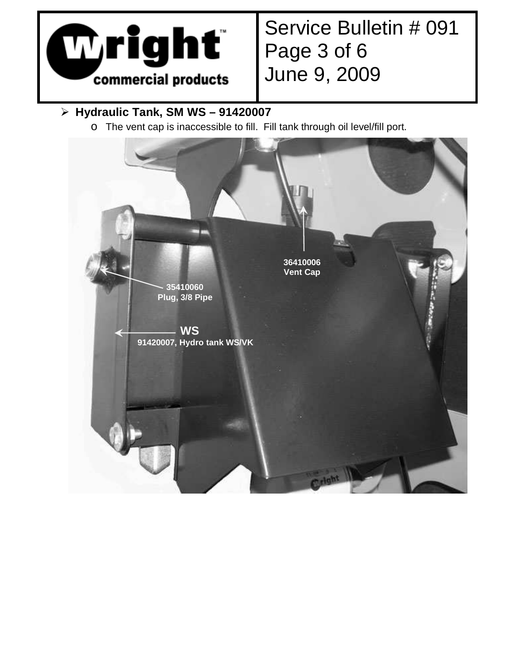

# Service Bulletin # 091 Page 3 of 6 June 9, 2009

#### - **Hydraulic Tank, SM WS – 91420007**

o The vent cap is inaccessible to fill. Fill tank through oil level/fill port.

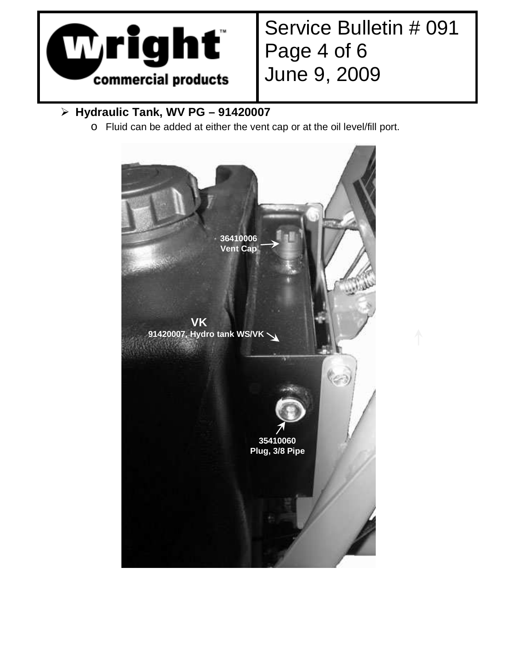

# Service Bulletin # 091 Page 4 of 6 June 9, 2009

#### - **Hydraulic Tank, WV PG – 91420007**

o Fluid can be added at either the vent cap or at the oil level/fill port.

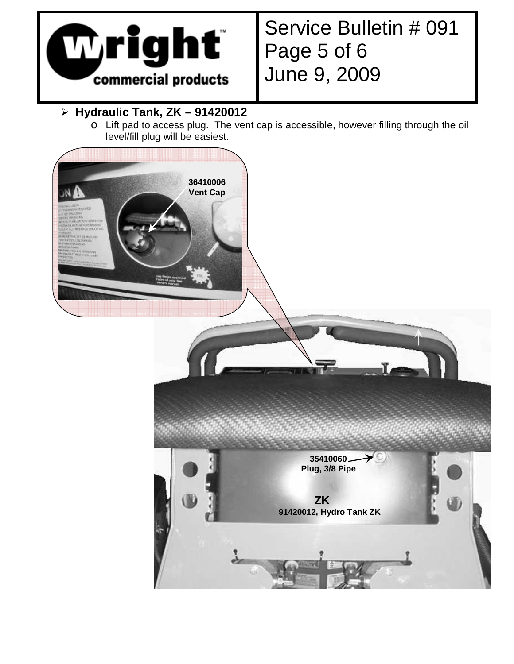

# Service Bulletin # 091 Page 5 of 6 June 9, 2009

#### - **Hydraulic Tank, ZK – 91420012**

o Lift pad to access plug. The vent cap is accessible, however filling through the oil level/fill plug will be easiest.